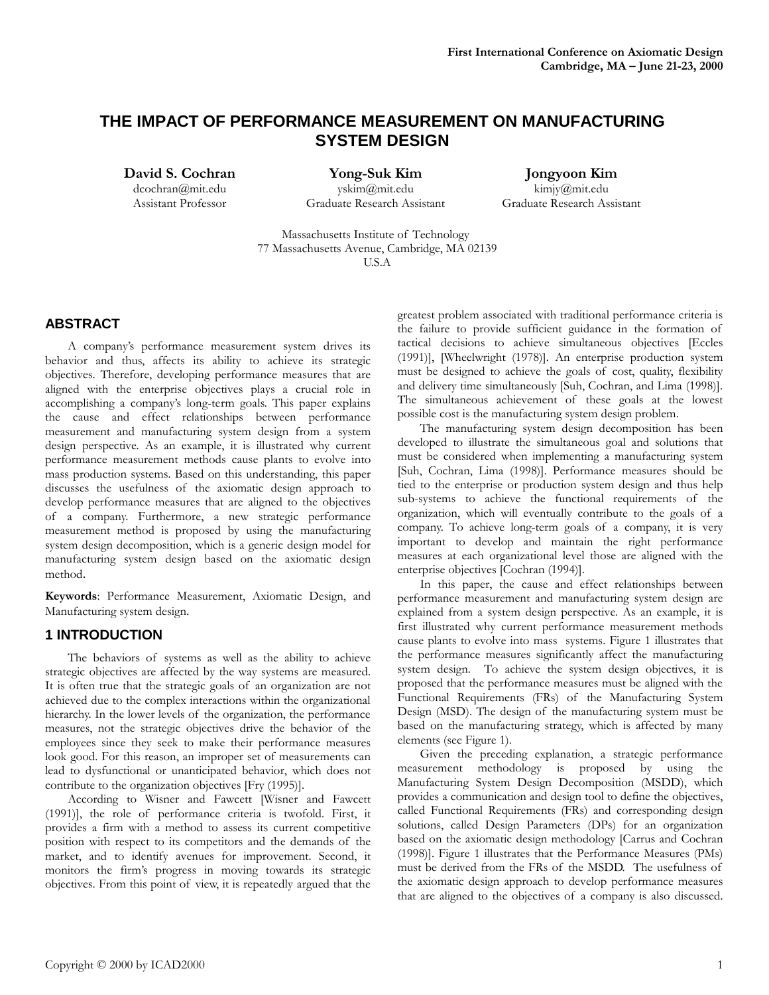# **THE IMPACT OF PERFORMANCE MEASUREMENT ON MANUFACTURING SYSTEM DESIGN**

**David S. Cochran** dcochran@mit.edu

Assistant Professor

**Yong-Suk Kim** yskim@mit.edu Graduate Research Assistant

**Jongyoon Kim** kimjy@mit.edu Graduate Research Assistant

Massachusetts Institute of Technology 77 Massachusetts Avenue, Cambridge, MA 02139 U.S.A

## **ABSTRACT**

A company's performance measurement system drives its behavior and thus, affects its ability to achieve its strategic objectives. Therefore, developing performance measures that are aligned with the enterprise objectives plays a crucial role in accomplishing a company's long-term goals. This paper explains the cause and effect relationships between performance measurement and manufacturing system design from a system design perspective. As an example, it is illustrated why current performance measurement methods cause plants to evolve into mass production systems. Based on this understanding, this paper discusses the usefulness of the axiomatic design approach to develop performance measures that are aligned to the objectives of a company. Furthermore, a new strategic performance measurement method is proposed by using the manufacturing system design decomposition, which is a generic design model for manufacturing system design based on the axiomatic design method.

**Keywords**: Performance Measurement, Axiomatic Design, and Manufacturing system design.

## **1 INTRODUCTION**

The behaviors of systems as well as the ability to achieve strategic objectives are affected by the way systems are measured. It is often true that the strategic goals of an organization are not achieved due to the complex interactions within the organizational hierarchy. In the lower levels of the organization, the performance measures, not the strategic objectives drive the behavior of the employees since they seek to make their performance measures look good. For this reason, an improper set of measurements can lead to dysfunctional or unanticipated behavior, which does not contribute to the organization objectives [Fry (1995)].

According to Wisner and Fawcett [Wisner and Fawcett (1991)], the role of performance criteria is twofold. First, it provides a firm with a method to assess its current competitive position with respect to its competitors and the demands of the market, and to identify avenues for improvement. Second, it monitors the firm's progress in moving towards its strategic objectives. From this point of view, it is repeatedly argued that the

greatest problem associated with traditional performance criteria is the failure to provide sufficient guidance in the formation of tactical decisions to achieve simultaneous objectives [Eccles (1991)], [Wheelwright (1978)]. An enterprise production system must be designed to achieve the goals of cost, quality, flexibility and delivery time simultaneously [Suh, Cochran, and Lima (1998)]. The simultaneous achievement of these goals at the lowest possible cost is the manufacturing system design problem.

The manufacturing system design decomposition has been developed to illustrate the simultaneous goal and solutions that must be considered when implementing a manufacturing system [Suh, Cochran, Lima (1998)]. Performance measures should be tied to the enterprise or production system design and thus help sub-systems to achieve the functional requirements of the organization, which will eventually contribute to the goals of a company. To achieve long-term goals of a company, it is very important to develop and maintain the right performance measures at each organizational level those are aligned with the enterprise objectives [Cochran (1994)].

In this paper, the cause and effect relationships between performance measurement and manufacturing system design are explained from a system design perspective. As an example, it is first illustrated why current performance measurement methods cause plants to evolve into mass systems. Figure 1 illustrates that the performance measures significantly affect the manufacturing system design. To achieve the system design objectives, it is proposed that the performance measures must be aligned with the Functional Requirements (FRs) of the Manufacturing System Design (MSD). The design of the manufacturing system must be based on the manufacturing strategy, which is affected by many elements (see Figure 1).

Given the preceding explanation, a strategic performance measurement methodology is proposed by using the Manufacturing System Design Decomposition (MSDD), which provides a communication and design tool to define the objectives, called Functional Requirements (FRs) and corresponding design solutions, called Design Parameters (DPs) for an organization based on the axiomatic design methodology [Carrus and Cochran (1998)]. Figure 1 illustrates that the Performance Measures (PMs) must be derived from the FRs of the MSDD. The usefulness of the axiomatic design approach to develop performance measures that are aligned to the objectives of a company is also discussed.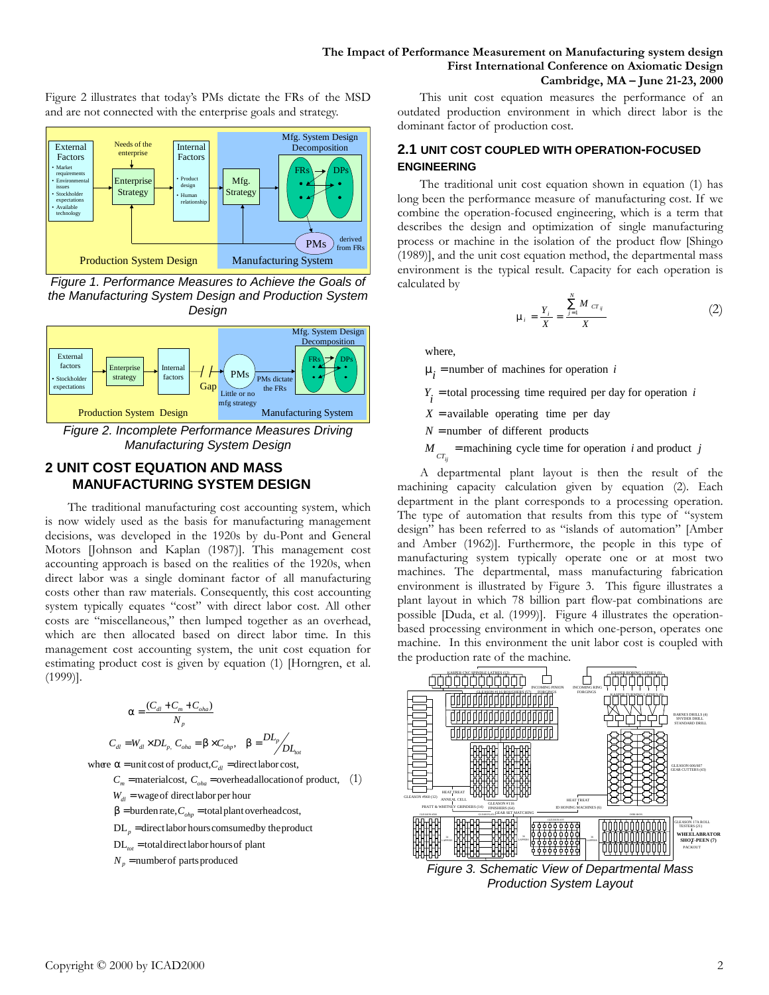Figure 2 illustrates that today's PMs dictate the FRs of the MSD and are not connected with the enterprise goals and strategy.



*Figure 1. Performance Measures to Achieve the Goals of the Manufacturing System Design and Production System Design*



## **2 UNIT COST EQUATION AND MASS MANUFACTURING SYSTEM DESIGN**

The traditional manufacturing cost accounting system, which is now widely used as the basis for manufacturing management decisions, was developed in the 1920s by du-Pont and General Motors [Johnson and Kaplan (1987)]. This management cost accounting approach is based on the realities of the 1920s, when direct labor was a single dominant factor of all manufacturing costs other than raw materials. Consequently, this cost accounting system typically equates "cost" with direct labor cost. All other costs are "miscellaneous," then lumped together as an overhead, which are then allocated based on direct labor time. In this management cost accounting system, the unit cost equation for estimating product cost is given by equation (1) [Horngren, et al. (1999)].

$$
\mathbf{a} = \frac{(C_{dl} + C_m + C_{oha})}{N_p}
$$
  
\n
$$
C_{dl} = W_{dl} \times DL_p, C_{oha} = \mathbf{b} \times C_{olp}, \quad \mathbf{b} = \frac{DL_p}{DL_{bol}}
$$

where  $\boldsymbol{a}$  = unit cost of product,  $C_{dl}$  = direct labor cost,

- $W_{dl}$  = wage of direct labor per hour  $C_m$  = materialcost,  $C_{\text{oha}}$  = overheadallocation of product, (1)
- $\bm{b}$ = burden rate,  $C_{ohp}$  = total plant overheadcost,
- $DL_p$  = direct labor hours comsumed by the product
- $DL_{tot}$  = total direct labor hours of plant
- $N_p$  = number of parts produced

This unit cost equation measures the performance of an outdated production environment in which direct labor is the dominant factor of production cost.

### **2.1 UNIT COST COUPLED WITH OPERATION-FOCUSED ENGINEERING**

The traditional unit cost equation shown in equation (1) has long been the performance measure of manufacturing cost. If we combine the operation-focused engineering, which is a term that describes the design and optimization of single manufacturing process or machine in the isolation of the product flow [Shingo (1989)], and the unit cost equation method, the departmental mass environment is the typical result. Capacity for each operation is calculated by

$$
\mathbf{m}_{i} = \frac{Y_{i}}{X} = \frac{\sum_{j=1}^{N} M_{CT_{ij}}}{X}
$$
 (2)

where,

 $m_i$  = number of machines for operation *i* 

- $Y_i$  = total processing time required per day for operation *i*
- $X =$ available operating time per day
- $N =$  number of different products
- $M_{cr_{ij}}$  = machining cycle time for operation *i* and product *j*

A departmental plant layout is then the result of the machining capacity calculation given by equation (2). Each department in the plant corresponds to a processing operation. The type of automation that results from this type of "system design" has been referred to as "islands of automation" [Amber and Amber (1962)]. Furthermore, the people in this type of manufacturing system typically operate one or at most two machines. The departmental, mass manufacturing fabrication environment is illustrated by Figure 3. This figure illustrates a plant layout in which 78 billion part flow-pat combinations are possible [Duda, et al. (1999)]. Figure 4 illustrates the operationbased processing environment in which one-person, operates one machine. In this environment the unit labor cost is coupled with the production rate of the machine.



*Figure 3. Schematic View of Departmental Mass Production System Layout*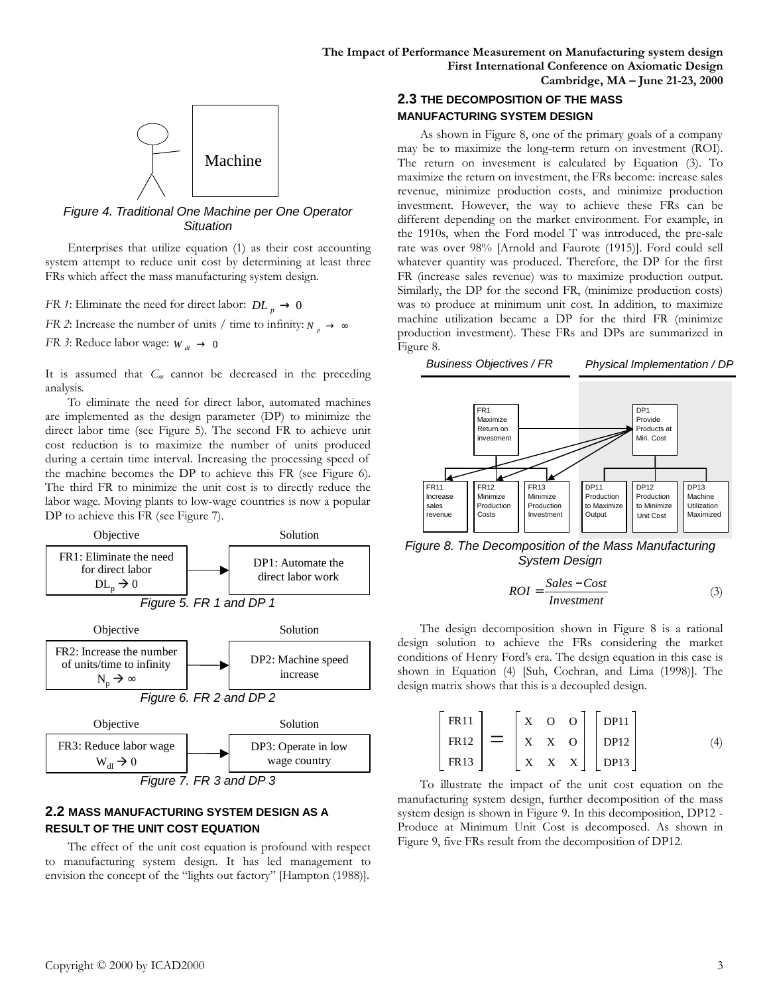

*Figure 4. Traditional One Machine per One Operator Situation*

Enterprises that utilize equation (1) as their cost accounting system attempt to reduce unit cost by determining at least three FRs which affect the mass manufacturing system design.

- *FR 1*: Eliminate the need for direct labor:  $DL_p \rightarrow 0$
- *FR 2*: Increase the number of units / time to infinity:  $N_p \rightarrow \infty$
- *FR 3*: Reduce labor wage:  $W_{dI} \rightarrow 0$

It is assumed that *Cm* cannot be decreased in the preceding analysis.

To eliminate the need for direct labor, automated machines are implemented as the design parameter (DP) to minimize the direct labor time (see Figure 5). The second FR to achieve unit cost reduction is to maximize the number of units produced during a certain time interval. Increasing the processing speed of the machine becomes the DP to achieve this FR (see Figure 6). The third FR to minimize the unit cost is to directly reduce the labor wage. Moving plants to low-wage countries is now a popular DP to achieve this FR (see Figure 7).



### **2.2 MASS MANUFACTURING SYSTEM DESIGN AS A RESULT OF THE UNIT COST EQUATION**

The effect of the unit cost equation is profound with respect to manufacturing system design. It has led management to envision the concept of the "lights out factory" [Hampton (1988)].

### **2.3 THE DECOMPOSITION OF THE MASS MANUFACTURING SYSTEM DESIGN**

As shown in Figure 8, one of the primary goals of a company may be to maximize the long-term return on investment (ROI). The return on investment is calculated by Equation (3). To maximize the return on investment, the FRs become: increase sales revenue, minimize production costs, and minimize production investment. However, the way to achieve these FRs can be different depending on the market environment. For example, in the 1910s, when the Ford model T was introduced, the pre-sale rate was over 98% [Arnold and Faurote (1915)]. Ford could sell whatever quantity was produced. Therefore, the DP for the first FR (increase sales revenue) was to maximize production output. Similarly, the DP for the second FR, (minimize production costs) was to produce at minimum unit cost. In addition, to maximize machine utilization became a DP for the third FR (minimize production investment). These FRs and DPs are summarized in Figure 8.



*Figure 8. The Decomposition of the Mass Manufacturing System Design*

$$
ROI = \frac{Sales - Cost}{Investment}
$$
 (3)

The design decomposition shown in Figure 8 is a rational design solution to achieve the FRs considering the market conditions of Henry Ford's era. The design equation in this case is shown in Equation (4) [Suh, Cochran, and Lima (1998)]. The design matrix shows that this is a decoupled design.

$$
\begin{bmatrix} \text{FR11} \\ \text{FR12} \\ \text{FR13} \end{bmatrix} = \begin{bmatrix} X & O & O \\ X & X & O \\ X & X & X \end{bmatrix} \begin{bmatrix} \text{DP11} \\ \text{DP12} \\ \text{DP13} \end{bmatrix} \tag{4}
$$

To illustrate the impact of the unit cost equation on the manufacturing system design, further decomposition of the mass system design is shown in Figure 9. In this decomposition, DP12 - Produce at Minimum Unit Cost is decomposed. As shown in Figure 9, five FRs result from the decomposition of DP12.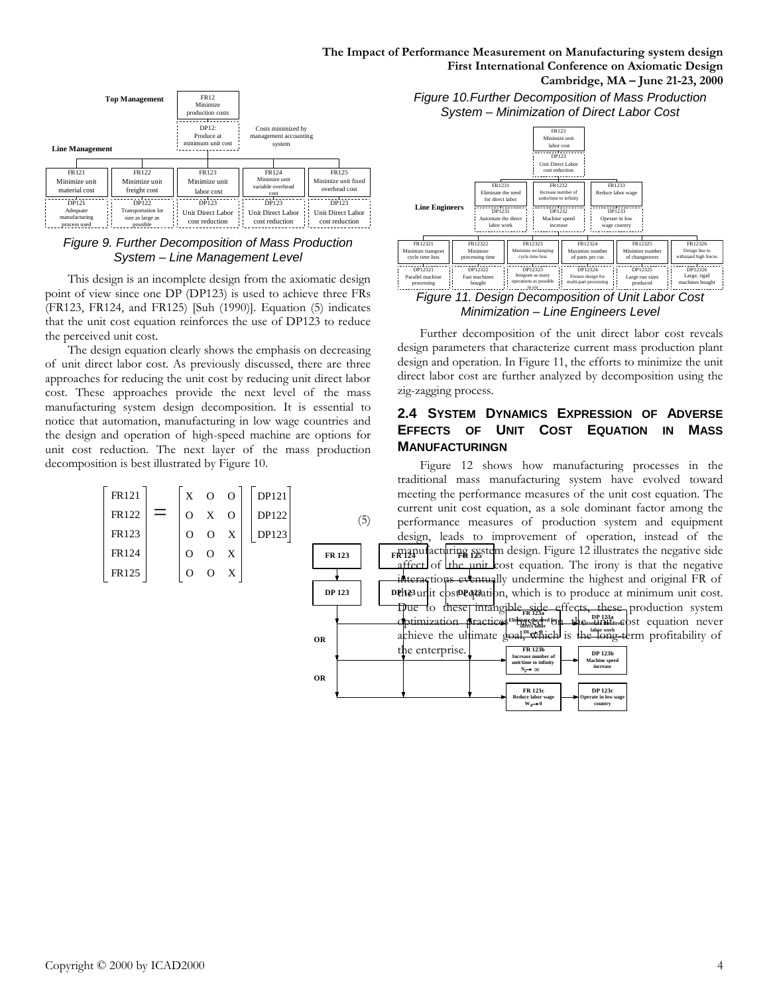**The Impact of Performance Measurement on Manufacturing system design First International Conference on Axiomatic Design Cambridge, MA – June 21-23, 2000**



#### *Figure 9. Further Decomposition of Mass Production System – Line Management Level*

This design is an incomplete design from the axiomatic design point of view since one DP (DP123) is used to achieve three FRs (FR123, FR124, and FR125) [Suh (1990)]. Equation (5) indicates that the unit cost equation reinforces the use of DP123 to reduce the perceived unit cost.

The design equation clearly shows the emphasis on decreasing of unit direct labor cost. As previously discussed, there are three approaches for reducing the unit cost by reducing unit direct labor cost. These approaches provide the next level of the mass manufacturing system design decomposition. It is essential to notice that automation, manufacturing in low wage countries and the design and operation of high-speed machine are options for unit cost reduction. The next layer of the mass production decomposition is best illustrated by Figure 10.

DP121 DP122 DP123 X O O O X O O O X FR121 FR122 FR123 FR124 FR125 = O O X O O X

*Figure 10.Further Decomposition of Mass Production System – Minimization of Direct Labor Cost*



### *Figure 11. Design Decomposition of Unit Labor Cost Minimization – Line Engineers Level*

Further decomposition of the unit direct labor cost reveals design parameters that characterize current mass production plant design and operation. In Figure 11, the efforts to minimize the unit direct labor cost are further analyzed by decomposition using the zig-zagging process.

### **2.4 SYSTEM DYNAMICS EXPRESSION OF ADVERSE EFFECTS OF UNIT COST EQUATION IN MASS MANUFACTURINGN**

**FR 123 FR 124 FR 124 FR 124 FR 124 FR 124 FR 124 FR 124 FR 124 FR 124 FR 124 FR 124 FR 124 FR 124 FR 124 FR 124 FR 124 FR 124 FR 124 FR 124 FR 124 FR 124 FR 124 FR 124 FR 12 DP 123 DP123 DP123** unit cost equation, which is to produce at minimum unit cost. **FR 123a Eliminate the need for direct labor** achieve the ultimate goal, which is the long-term profitability of **Optimization practices business and the unit cost equation never** Figure 12 shows how manufacturing processes in the traditional mass manufacturing system have evolved toward meeting the performance measures of the unit cost equation. The current unit cost equation, as a sole dominant factor among the performance measures of production system and equipment design, leads to improvement of operation, instead of the affect of the unit cost equation. The irony is that the negative interactions eventually undermine the highest and original FR of Due to these intangible side effects, these production system

| OR | the enterprise. | <b>FR 123b</b><br>Increase number of<br>unit/time to infinity<br>$N \rightarrow \infty$ | <b>DP 123b</b><br><b>Machine</b> speed<br>increase |
|----|-----------------|-----------------------------------------------------------------------------------------|----------------------------------------------------|
|    |                 | <b>FR 123c</b><br>Reduce labor wage<br>$W_a \rightarrow 0$                              | <b>DP 123c</b><br>▶ Operate in low wage<br>country |

(5)

**OR**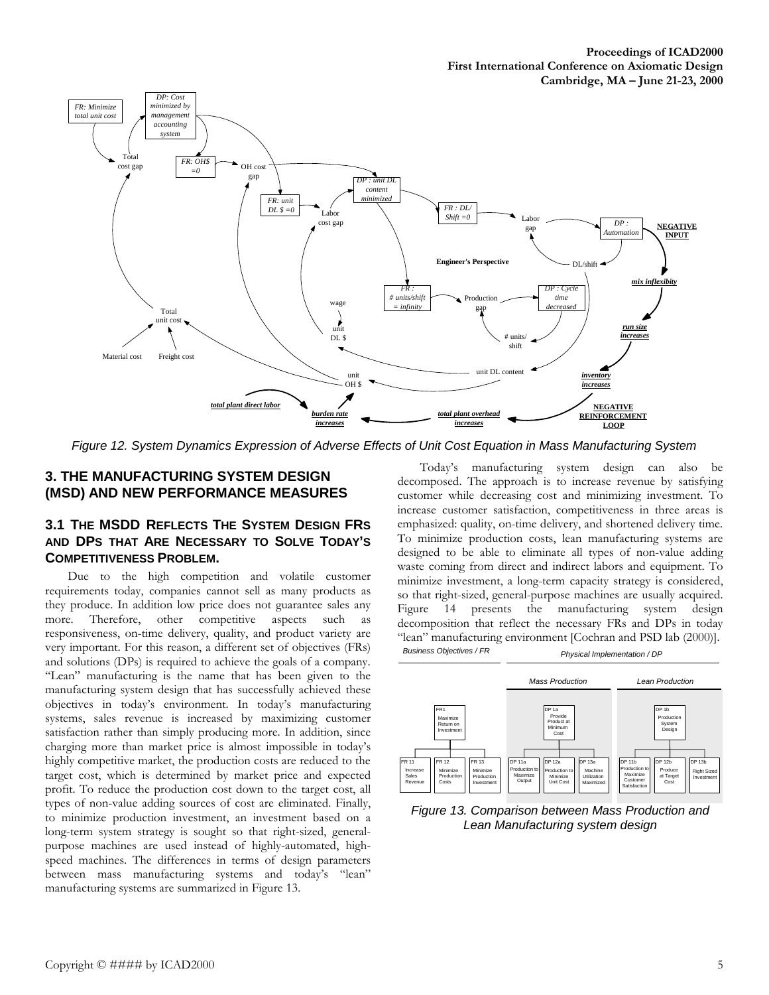

*Figure 12. System Dynamics Expression of Adverse Effects of Unit Cost Equation in Mass Manufacturing System*

## **3. THE MANUFACTURING SYSTEM DESIGN (MSD) AND NEW PERFORMANCE MEASURES**

## **3.1 THE MSDD REFLECTS THE SYSTEM DESIGN FRS AND DPS THAT ARE NECESSARY TO SOLVE TODAY'S COMPETITIVENESS PROBLEM.**

Due to the high competition and volatile customer requirements today, companies cannot sell as many products as they produce. In addition low price does not guarantee sales any more. Therefore, other competitive aspects such as responsiveness, on-time delivery, quality, and product variety are very important. For this reason, a different set of objectives (FRs) and solutions (DPs) is required to achieve the goals of a company. "Lean" manufacturing is the name that has been given to the manufacturing system design that has successfully achieved these objectives in today's environment. In today's manufacturing systems, sales revenue is increased by maximizing customer satisfaction rather than simply producing more. In addition, since charging more than market price is almost impossible in today's highly competitive market, the production costs are reduced to the target cost, which is determined by market price and expected profit. To reduce the production cost down to the target cost, all types of non-value adding sources of cost are eliminated. Finally, to minimize production investment, an investment based on a long-term system strategy is sought so that right-sized, generalpurpose machines are used instead of highly-automated, highspeed machines. The differences in terms of design parameters between mass manufacturing systems and today's "lean" manufacturing systems are summarized in Figure 13.

Today's manufacturing system design can also be decomposed. The approach is to increase revenue by satisfying customer while decreasing cost and minimizing investment. To increase customer satisfaction, competitiveness in three areas is emphasized: quality, on-time delivery, and shortened delivery time. To minimize production costs, lean manufacturing systems are designed to be able to eliminate all types of non-value adding waste coming from direct and indirect labors and equipment. To minimize investment, a long-term capacity strategy is considered, so that right-sized, general-purpose machines are usually acquired. Figure 14 presents the manufacturing system design decomposition that reflect the necessary FRs and DPs in today "lean" manufacturing environment [Cochran and PSD lab (2000)].



*Figure 13. Comparison between Mass Production and Lean Manufacturing system design*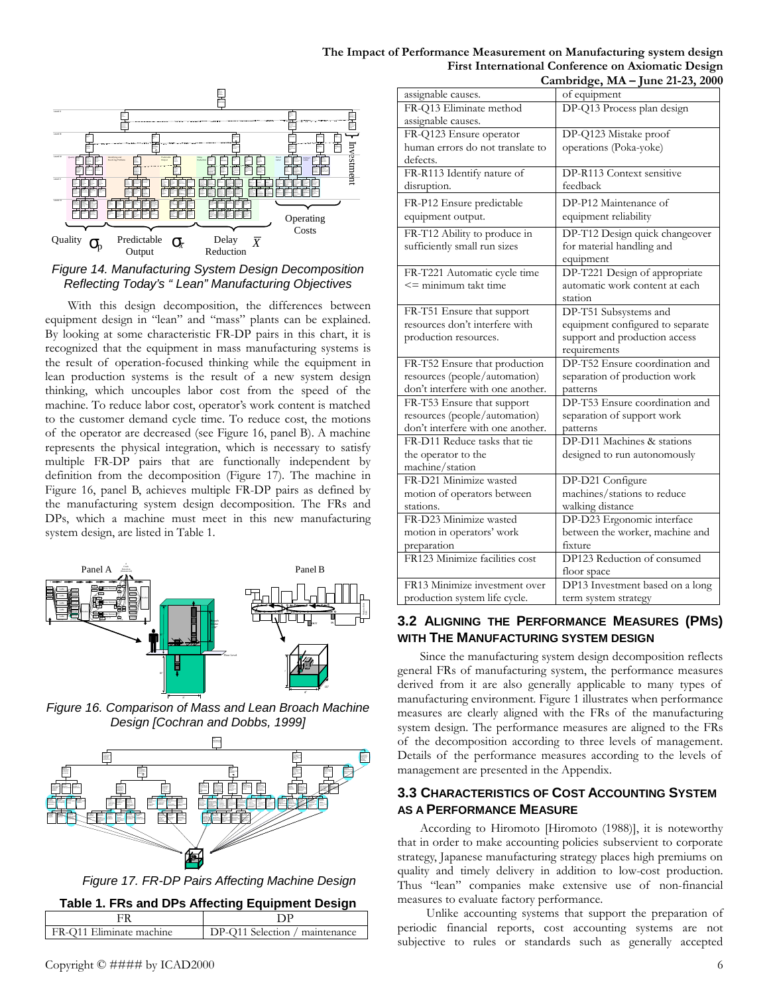

### *Figure 14. Manufacturing System Design Decomposition Reflecting Today's " Lean" Manufacturing Objectives*

With this design decomposition, the differences between equipment design in "lean" and "mass" plants can be explained. By looking at some characteristic FR-DP pairs in this chart, it is recognized that the equipment in mass manufacturing systems is the result of operation-focused thinking while the equipment in lean production systems is the result of a new system design thinking, which uncouples labor cost from the speed of the machine. To reduce labor cost, operator's work content is matched to the customer demand cycle time. To reduce cost, the motions of the operator are decreased (see Figure 16, panel B). A machine represents the physical integration, which is necessary to satisfy multiple FR-DP pairs that are functionally independent by definition from the decomposition (Figure 17). The machine in Figure 16, panel B, achieves multiple FR-DP pairs as defined by the manufacturing system design decomposition. The FRs and DPs, which a machine must meet in this new manufacturing system design, are listed in Table 1.



*Figure 16. Comparison of Mass and Lean Broach Machine Design [Cochran and Dobbs, 1999]*



*Figure 17. FR-DP Pairs Affecting Machine Design*

|  |  | Table 1. FRs and DPs Affecting Equipment Design |  |  |
|--|--|-------------------------------------------------|--|--|
|  |  |                                                 |  |  |

|                          | $1800$ $11110$ and $21010$ and $9100$ and $1000$ and $1000$ |
|--------------------------|-------------------------------------------------------------|
|                          |                                                             |
| FR-O11 Eliminate machine | DP-Q11 Selection / maintenance                              |
|                          |                                                             |

#### **The Impact of Performance Measurement on Manufacturing system design First International Conference on Axiomatic Design Cambridge, MA – June 21-23, 2000**

|                                   | Cambridge, MA – June 21-25, 200  |
|-----------------------------------|----------------------------------|
| assignable causes.                | of equipment                     |
| FR-Q13 Eliminate method           | DP-Q13 Process plan design       |
| assignable causes.                |                                  |
| FR-Q123 Ensure operator           | DP-Q123 Mistake proof            |
| human errors do not translate to  | operations (Poka-yoke)           |
| defects.                          |                                  |
| FR-R113 Identify nature of        | DP-R113 Context sensitive        |
| disruption.                       | feedback                         |
| FR-P12 Ensure predictable         | DP-P12 Maintenance of            |
| equipment output.                 | equipment reliability            |
| FR-T12 Ability to produce in      | DP-T12 Design quick changeover   |
| sufficiently small run sizes      | for material handling and        |
|                                   | equipment                        |
| FR-T221 Automatic cycle time      | DP-T221 Design of appropriate    |
| $\leq$ minimum takt time          | automatic work content at each   |
|                                   | station                          |
| FR-T51 Ensure that support        | DP-T51 Subsystems and            |
| resources don't interfere with    | equipment configured to separate |
| production resources.             | support and production access    |
|                                   | requirements                     |
| FR-T52 Ensure that production     | DP-T52 Ensure coordination and   |
| resources (people/automation)     | separation of production work    |
| don't interfere with one another. | patterns                         |
| FR-T53 Ensure that support        | DP-T53 Ensure coordination and   |
| resources (people/automation)     | separation of support work       |
| don't interfere with one another. | patterns                         |
| FR-D11 Reduce tasks that tie      | DP-D11 Machines & stations       |
| the operator to the               | designed to run autonomously     |
| machine/station                   |                                  |
| FR-D21 Minimize wasted            | DP-D21 Configure                 |
| motion of operators between       | machines/stations to reduce      |
| stations.                         | walking distance                 |
| FR-D23 Minimize wasted            | DP-D23 Ergonomic interface       |
| motion in operators' work         | between the worker, machine and  |
| preparation                       | fixture                          |
| FR123 Minimize facilities cost    | DP123 Reduction of consumed      |
|                                   | floor space                      |
| FR13 Minimize investment over     | DP13 Investment based on a long  |
| production system life cycle.     | term system strategy             |

## **3.2 ALIGNING THE PERFORMANCE MEASURES (PMS) WITH THE MANUFACTURING SYSTEM DESIGN**

Since the manufacturing system design decomposition reflects general FRs of manufacturing system, the performance measures derived from it are also generally applicable to many types of manufacturing environment. Figure 1 illustrates when performance measures are clearly aligned with the FRs of the manufacturing system design. The performance measures are aligned to the FRs of the decomposition according to three levels of management. Details of the performance measures according to the levels of management are presented in the Appendix.

## **3.3 CHARACTERISTICS OF COST ACCOUNTING SYSTEM AS A PERFORMANCE MEASURE**

According to Hiromoto [Hiromoto (1988)], it is noteworthy that in order to make accounting policies subservient to corporate strategy, Japanese manufacturing strategy places high premiums on quality and timely delivery in addition to low-cost production. Thus "lean" companies make extensive use of non-financial measures to evaluate factory performance.

 Unlike accounting systems that support the preparation of periodic financial reports, cost accounting systems are not subjective to rules or standards such as generally accepted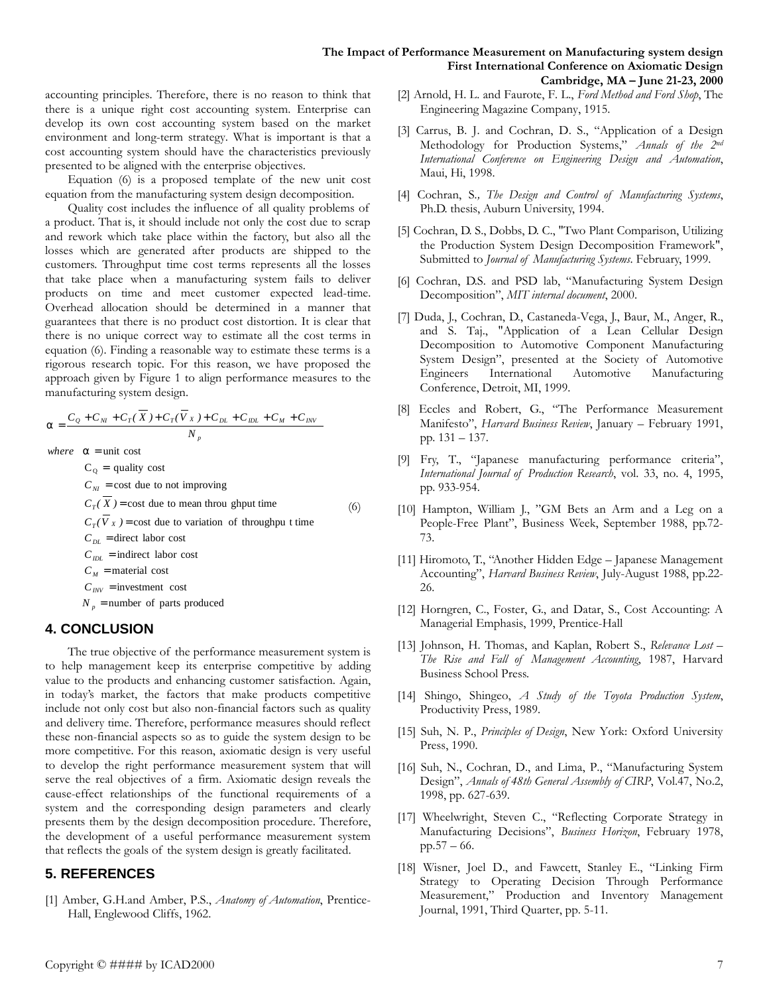#### **The Impact of Performance Measurement on Manufacturing system design First International Conference on Axiomatic Design Cambridge, MA – June 21-23, 2000**

accounting principles. Therefore, there is no reason to think that there is a unique right cost accounting system. Enterprise can develop its own cost accounting system based on the market environment and long-term strategy. What is important is that a cost accounting system should have the characteristics previously presented to be aligned with the enterprise objectives.

Equation (6) is a proposed template of the new unit cost equation from the manufacturing system design decomposition.

Quality cost includes the influence of all quality problems of a product. That is, it should include not only the cost due to scrap and rework which take place within the factory, but also all the losses which are generated after products are shipped to the customers. Throughput time cost terms represents all the losses that take place when a manufacturing system fails to deliver products on time and meet customer expected lead-time. Overhead allocation should be determined in a manner that guarantees that there is no product cost distortion. It is clear that there is no unique correct way to estimate all the cost terms in equation (6). Finding a reasonable way to estimate these terms is a rigorous research topic. For this reason, we have proposed the approach given by Figure 1 to align performance measures to the manufacturing system design.

$$
\mathbf{a} = \frac{C_Q + C_M + C_T(\overline{X}) + C_T(\overline{V}_X) + C_{DL} + C_{IDL} + C_M + C_{INV}}{N_p}
$$
  
where  $\mathbf{a} = \text{unit cost}$ 

 $C_Q$  = quality cost

 $C_{\text{NI}}$  = cost due to not improving

 $C_M$  = material cost  $C_{IDL}$  = indirect labor cost  $C_{DL}$  = direct labor cost  $C_T(V_X)$  = cost due to variation of throughpu t time  $C_T(X)$  = cost due to mean throu ghput time (6)

 $C_{\text{INV}} =$  investment cost

 $N_p$  = number of parts produced

## **4. CONCLUSION**

The true objective of the performance measurement system is to help management keep its enterprise competitive by adding value to the products and enhancing customer satisfaction. Again, in today's market, the factors that make products competitive include not only cost but also non-financial factors such as quality and delivery time. Therefore, performance measures should reflect these non-financial aspects so as to guide the system design to be more competitive. For this reason, axiomatic design is very useful to develop the right performance measurement system that will serve the real objectives of a firm. Axiomatic design reveals the cause-effect relationships of the functional requirements of a system and the corresponding design parameters and clearly presents them by the design decomposition procedure. Therefore, the development of a useful performance measurement system that reflects the goals of the system design is greatly facilitated.

## **5. REFERENCES**

[1] Amber, G.H.and Amber, P.S., *Anatomy of Automation*, Prentice-Hall, Englewood Cliffs, 1962.

- [2] Arnold, H. L. and Faurote, F. L., *Ford Method and Ford Shop*, The Engineering Magazine Company, 1915.
- [3] Carrus, B. J. and Cochran, D. S., "Application of a Design Methodology for Production Systems," *Annals of the 2nd International Conference on Engineering Design and Automation*, Maui, Hi, 1998.
- [4] Cochran, S*., The Design and Control of Manufacturing Systems*, Ph.D. thesis, Auburn University, 1994.
- [5] Cochran, D. S., Dobbs, D. C., "Two Plant Comparison, Utilizing the Production System Design Decomposition Framework", Submitted to *Journal of Manufacturing Systems*. February, 1999.
- [6] Cochran, D.S. and PSD lab, "Manufacturing System Design Decomposition", *MIT internal document*, 2000.
- [7] Duda, J., Cochran, D., Castaneda-Vega, J., Baur, M., Anger, R., and S. Taj., "Application of a Lean Cellular Design Decomposition to Automotive Component Manufacturing System Design", presented at the Society of Automotive Engineers International Automotive Manufacturing Conference, Detroit, MI, 1999.
- [8] Eccles and Robert, G., "The Performance Measurement Manifesto", *Harvard Business Review*, January – February 1991, pp. 131 – 137.
- [9] Fry, T., "Japanese manufacturing performance criteria", *International Journal of Production Research*, vol. 33, no. 4, 1995, pp. 933-954.
- [10] Hampton, William J., "GM Bets an Arm and a Leg on a People-Free Plant", Business Week, September 1988, pp.72- 73.
- [11] Hiromoto, T., "Another Hidden Edge Japanese Management Accounting", *Harvard Business Review*, July-August 1988, pp.22- 26.
- [12] Horngren, C., Foster, G., and Datar, S., Cost Accounting: A Managerial Emphasis, 1999, Prentice-Hall
- [13] Johnson, H. Thomas, and Kaplan, Robert S., *Relevance Lost – The Rise and Fall of Management Accounting*, 1987, Harvard Business School Press.
- [14] Shingo, Shingeo, *A Study of the Toyota Production System*, Productivity Press, 1989.
- [15] Suh, N. P., *Principles of Design*, New York: Oxford University Press, 1990.
- [16] Suh, N., Cochran, D., and Lima, P., "Manufacturing System Design", *Annals of 48th General Assembly of CIRP*, Vol.47, No.2, 1998, pp. 627-639.
- [17] Wheelwright, Steven C., "Reflecting Corporate Strategy in Manufacturing Decisions", *Business Horizon*, February 1978, pp.57 – 66.
- [18] Wisner, Joel D., and Fawcett, Stanley E., "Linking Firm Strategy to Operating Decision Through Performance Measurement," Production and Inventory Management Journal, 1991, Third Quarter, pp. 5-11.